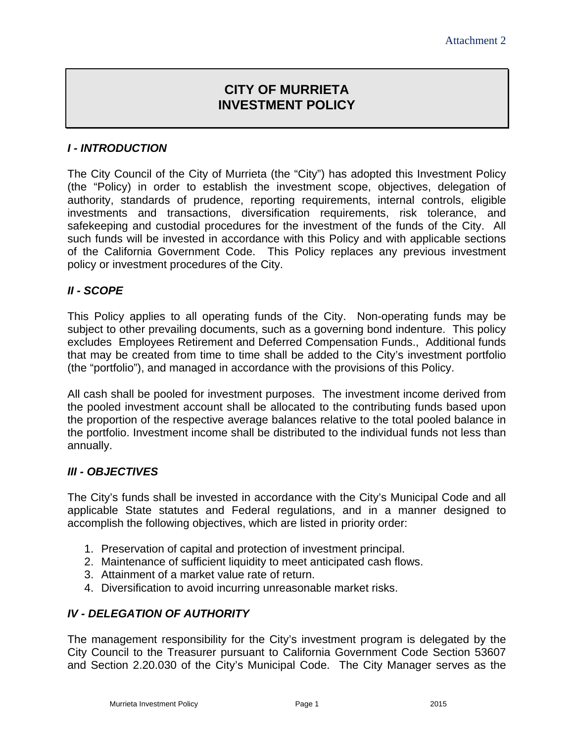# **CITY OF MURRIETA INVESTMENT POLICY**

# *I - INTRODUCTION*

The City Council of the City of Murrieta (the "City") has adopted this Investment Policy (the "Policy) in order to establish the investment scope, objectives, delegation of authority, standards of prudence, reporting requirements, internal controls, eligible investments and transactions, diversification requirements, risk tolerance, and safekeeping and custodial procedures for the investment of the funds of the City. All such funds will be invested in accordance with this Policy and with applicable sections of the California Government Code. This Policy replaces any previous investment policy or investment procedures of the City.

#### *II - SCOPE*

This Policy applies to all operating funds of the City. Non-operating funds may be subject to other prevailing documents, such as a governing bond indenture. This policy excludes Employees Retirement and Deferred Compensation Funds., Additional funds that may be created from time to time shall be added to the City's investment portfolio (the "portfolio"), and managed in accordance with the provisions of this Policy.

All cash shall be pooled for investment purposes. The investment income derived from the pooled investment account shall be allocated to the contributing funds based upon the proportion of the respective average balances relative to the total pooled balance in the portfolio. Investment income shall be distributed to the individual funds not less than annually.

#### *III - OBJECTIVES*

The City's funds shall be invested in accordance with the City's Municipal Code and all applicable State statutes and Federal regulations, and in a manner designed to accomplish the following objectives, which are listed in priority order:

- 1. Preservation of capital and protection of investment principal.
- 2. Maintenance of sufficient liquidity to meet anticipated cash flows.
- 3. Attainment of a market value rate of return.
- 4. Diversification to avoid incurring unreasonable market risks.

#### *IV - DELEGATION OF AUTHORITY*

The management responsibility for the City's investment program is delegated by the City Council to the Treasurer pursuant to California Government Code Section 53607 and Section 2.20.030 of the City's Municipal Code. The City Manager serves as the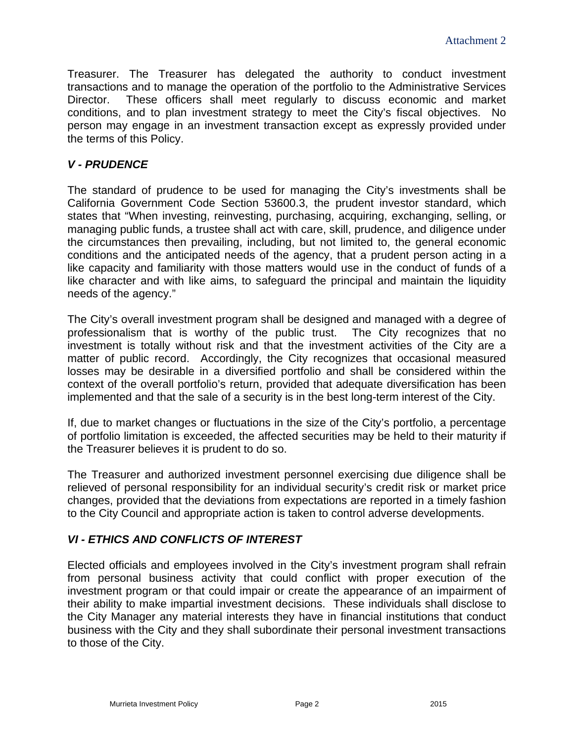Treasurer. The Treasurer has delegated the authority to conduct investment transactions and to manage the operation of the portfolio to the Administrative Services Director. These officers shall meet regularly to discuss economic and market conditions, and to plan investment strategy to meet the City's fiscal objectives. No person may engage in an investment transaction except as expressly provided under the terms of this Policy.

#### *V - PRUDENCE*

The standard of prudence to be used for managing the City's investments shall be California Government Code Section 53600.3, the prudent investor standard, which states that "When investing, reinvesting, purchasing, acquiring, exchanging, selling, or managing public funds, a trustee shall act with care, skill, prudence, and diligence under the circumstances then prevailing, including, but not limited to, the general economic conditions and the anticipated needs of the agency, that a prudent person acting in a like capacity and familiarity with those matters would use in the conduct of funds of a like character and with like aims, to safeguard the principal and maintain the liquidity needs of the agency."

The City's overall investment program shall be designed and managed with a degree of professionalism that is worthy of the public trust. The City recognizes that no investment is totally without risk and that the investment activities of the City are a matter of public record. Accordingly, the City recognizes that occasional measured losses may be desirable in a diversified portfolio and shall be considered within the context of the overall portfolio's return, provided that adequate diversification has been implemented and that the sale of a security is in the best long-term interest of the City.

If, due to market changes or fluctuations in the size of the City's portfolio, a percentage of portfolio limitation is exceeded, the affected securities may be held to their maturity if the Treasurer believes it is prudent to do so.

The Treasurer and authorized investment personnel exercising due diligence shall be relieved of personal responsibility for an individual security's credit risk or market price changes, provided that the deviations from expectations are reported in a timely fashion to the City Council and appropriate action is taken to control adverse developments.

#### *VI - ETHICS AND CONFLICTS OF INTEREST*

Elected officials and employees involved in the City's investment program shall refrain from personal business activity that could conflict with proper execution of the investment program or that could impair or create the appearance of an impairment of their ability to make impartial investment decisions. These individuals shall disclose to the City Manager any material interests they have in financial institutions that conduct business with the City and they shall subordinate their personal investment transactions to those of the City.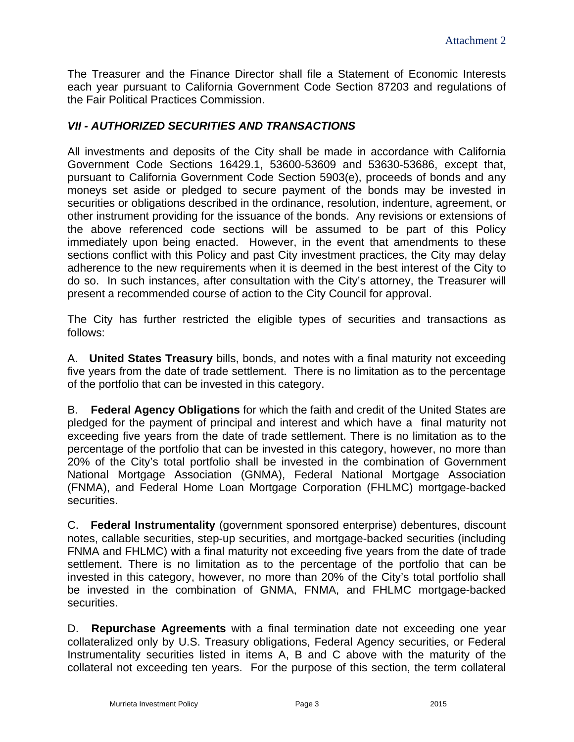The Treasurer and the Finance Director shall file a Statement of Economic Interests each year pursuant to California Government Code Section 87203 and regulations of the Fair Political Practices Commission.

## *VII - AUTHORIZED SECURITIES AND TRANSACTIONS*

All investments and deposits of the City shall be made in accordance with California Government Code Sections 16429.1, 53600-53609 and 53630-53686, except that, pursuant to California Government Code Section 5903(e), proceeds of bonds and any moneys set aside or pledged to secure payment of the bonds may be invested in securities or obligations described in the ordinance, resolution, indenture, agreement, or other instrument providing for the issuance of the bonds. Any revisions or extensions of the above referenced code sections will be assumed to be part of this Policy immediately upon being enacted. However, in the event that amendments to these sections conflict with this Policy and past City investment practices, the City may delay adherence to the new requirements when it is deemed in the best interest of the City to do so. In such instances, after consultation with the City's attorney, the Treasurer will present a recommended course of action to the City Council for approval.

The City has further restricted the eligible types of securities and transactions as follows:

A. **United States Treasury** bills, bonds, and notes with a final maturity not exceeding five years from the date of trade settlement. There is no limitation as to the percentage of the portfolio that can be invested in this category.

B. **Federal Agency Obligations** for which the faith and credit of the United States are pledged for the payment of principal and interest and which have a final maturity not exceeding five years from the date of trade settlement. There is no limitation as to the percentage of the portfolio that can be invested in this category, however, no more than 20% of the City's total portfolio shall be invested in the combination of Government National Mortgage Association (GNMA), Federal National Mortgage Association (FNMA), and Federal Home Loan Mortgage Corporation (FHLMC) mortgage-backed securities.

C. **Federal Instrumentality** (government sponsored enterprise) debentures, discount notes, callable securities, step-up securities, and mortgage-backed securities (including FNMA and FHLMC) with a final maturity not exceeding five years from the date of trade settlement. There is no limitation as to the percentage of the portfolio that can be invested in this category, however, no more than 20% of the City's total portfolio shall be invested in the combination of GNMA, FNMA, and FHLMC mortgage-backed securities.

D. **Repurchase Agreements** with a final termination date not exceeding one year collateralized only by U.S. Treasury obligations, Federal Agency securities, or Federal Instrumentality securities listed in items A, B and C above with the maturity of the collateral not exceeding ten years. For the purpose of this section, the term collateral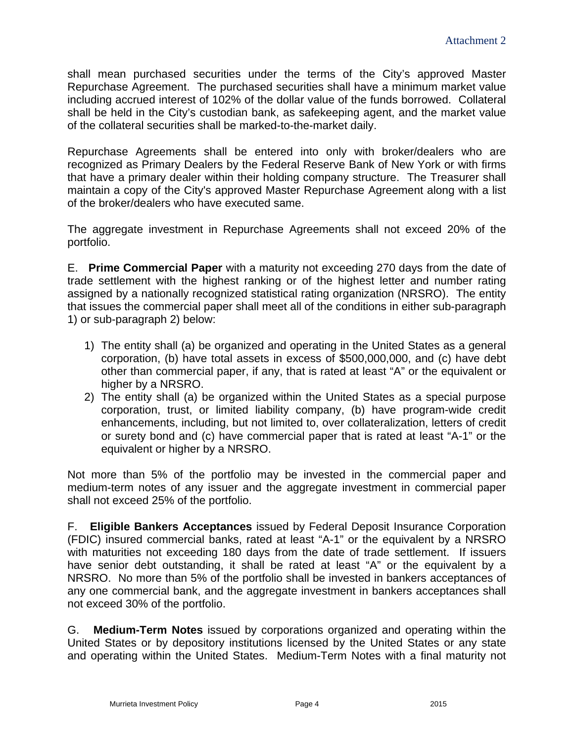shall mean purchased securities under the terms of the City's approved Master Repurchase Agreement. The purchased securities shall have a minimum market value including accrued interest of 102% of the dollar value of the funds borrowed. Collateral shall be held in the City's custodian bank, as safekeeping agent, and the market value of the collateral securities shall be marked-to-the-market daily.

Repurchase Agreements shall be entered into only with broker/dealers who are recognized as Primary Dealers by the Federal Reserve Bank of New York or with firms that have a primary dealer within their holding company structure. The Treasurer shall maintain a copy of the City's approved Master Repurchase Agreement along with a list of the broker/dealers who have executed same.

The aggregate investment in Repurchase Agreements shall not exceed 20% of the portfolio.

E. **Prime Commercial Paper** with a maturity not exceeding 270 days from the date of trade settlement with the highest ranking or of the highest letter and number rating assigned by a nationally recognized statistical rating organization (NRSRO). The entity that issues the commercial paper shall meet all of the conditions in either sub-paragraph 1) or sub-paragraph 2) below:

- 1) The entity shall (a) be organized and operating in the United States as a general corporation, (b) have total assets in excess of \$500,000,000, and (c) have debt other than commercial paper, if any, that is rated at least "A" or the equivalent or higher by a NRSRO.
- 2) The entity shall (a) be organized within the United States as a special purpose corporation, trust, or limited liability company, (b) have program-wide credit enhancements, including, but not limited to, over collateralization, letters of credit or surety bond and (c) have commercial paper that is rated at least "A-1" or the equivalent or higher by a NRSRO.

Not more than 5% of the portfolio may be invested in the commercial paper and medium-term notes of any issuer and the aggregate investment in commercial paper shall not exceed 25% of the portfolio.

F. **Eligible Bankers Acceptances** issued by Federal Deposit Insurance Corporation (FDIC) insured commercial banks, rated at least "A-1" or the equivalent by a NRSRO with maturities not exceeding 180 days from the date of trade settlement. If issuers have senior debt outstanding, it shall be rated at least "A" or the equivalent by a NRSRO. No more than 5% of the portfolio shall be invested in bankers acceptances of any one commercial bank, and the aggregate investment in bankers acceptances shall not exceed 30% of the portfolio.

G. **Medium-Term Notes** issued by corporations organized and operating within the United States or by depository institutions licensed by the United States or any state and operating within the United States. Medium-Term Notes with a final maturity not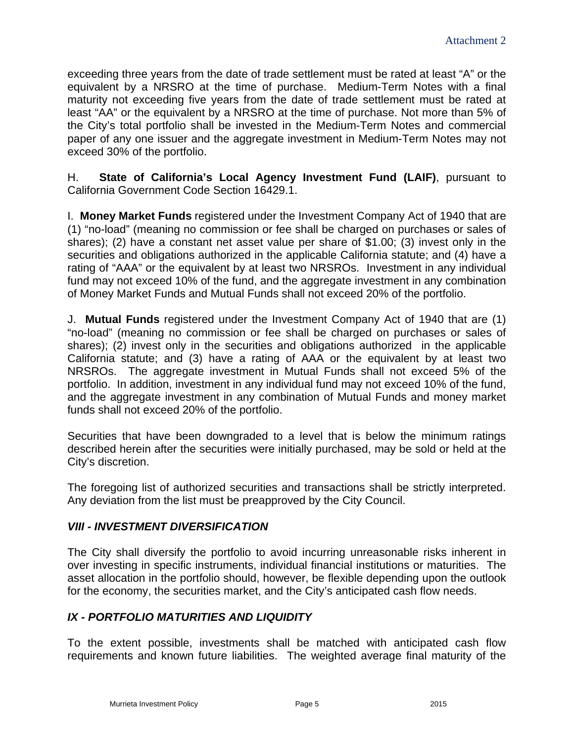exceeding three years from the date of trade settlement must be rated at least "A" or the equivalent by a NRSRO at the time of purchase. Medium-Term Notes with a final maturity not exceeding five years from the date of trade settlement must be rated at least "AA" or the equivalent by a NRSRO at the time of purchase. Not more than 5% of the City's total portfolio shall be invested in the Medium-Term Notes and commercial paper of any one issuer and the aggregate investment in Medium-Term Notes may not exceed 30% of the portfolio.

H. **State of California's Local Agency Investment Fund (LAIF)**, pursuant to California Government Code Section 16429.1.

I. **Money Market Funds** registered under the Investment Company Act of 1940 that are (1) "no-load" (meaning no commission or fee shall be charged on purchases or sales of shares); (2) have a constant net asset value per share of \$1.00; (3) invest only in the securities and obligations authorized in the applicable California statute; and (4) have a rating of "AAA" or the equivalent by at least two NRSROs. Investment in any individual fund may not exceed 10% of the fund, and the aggregate investment in any combination of Money Market Funds and Mutual Funds shall not exceed 20% of the portfolio.

J. **Mutual Funds** registered under the Investment Company Act of 1940 that are (1) "no-load" (meaning no commission or fee shall be charged on purchases or sales of shares); (2) invest only in the securities and obligations authorized in the applicable California statute; and (3) have a rating of AAA or the equivalent by at least two NRSROs. The aggregate investment in Mutual Funds shall not exceed 5% of the portfolio. In addition, investment in any individual fund may not exceed 10% of the fund, and the aggregate investment in any combination of Mutual Funds and money market funds shall not exceed 20% of the portfolio.

Securities that have been downgraded to a level that is below the minimum ratings described herein after the securities were initially purchased, may be sold or held at the City's discretion.

The foregoing list of authorized securities and transactions shall be strictly interpreted. Any deviation from the list must be preapproved by the City Council.

#### *VIII - INVESTMENT DIVERSIFICATION*

The City shall diversify the portfolio to avoid incurring unreasonable risks inherent in over investing in specific instruments, individual financial institutions or maturities. The asset allocation in the portfolio should, however, be flexible depending upon the outlook for the economy, the securities market, and the City's anticipated cash flow needs.

# *IX - PORTFOLIO MATURITIES AND LIQUIDITY*

To the extent possible, investments shall be matched with anticipated cash flow requirements and known future liabilities. The weighted average final maturity of the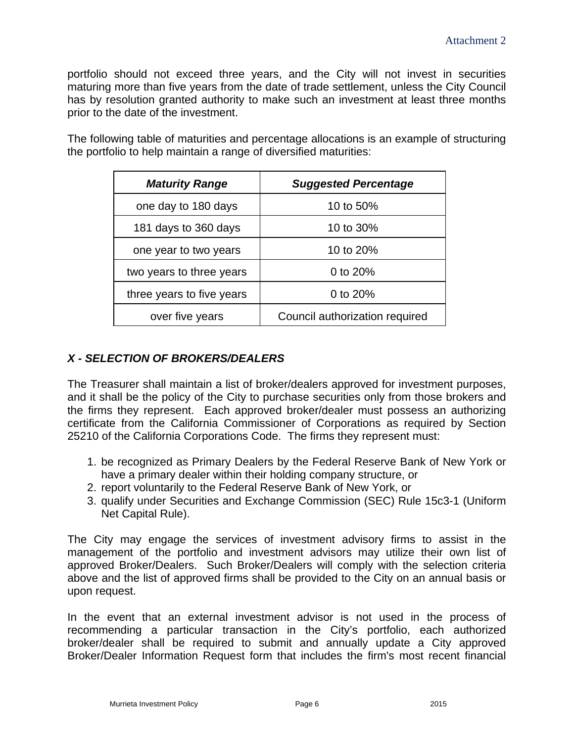portfolio should not exceed three years, and the City will not invest in securities maturing more than five years from the date of trade settlement, unless the City Council has by resolution granted authority to make such an investment at least three months prior to the date of the investment.

The following table of maturities and percentage allocations is an example of structuring the portfolio to help maintain a range of diversified maturities:

| <b>Maturity Range</b>     | <b>Suggested Percentage</b>    |
|---------------------------|--------------------------------|
| one day to 180 days       | 10 to 50%                      |
| 181 days to 360 days      | 10 to 30%                      |
| one year to two years     | 10 to 20%                      |
| two years to three years  | 0 to 20%                       |
| three years to five years | 0 to 20%                       |
| over five years           | Council authorization required |

# *X - SELECTION OF BROKERS/DEALERS*

The Treasurer shall maintain a list of broker/dealers approved for investment purposes, and it shall be the policy of the City to purchase securities only from those brokers and the firms they represent. Each approved broker/dealer must possess an authorizing certificate from the California Commissioner of Corporations as required by Section 25210 of the California Corporations Code. The firms they represent must:

- 1. be recognized as Primary Dealers by the Federal Reserve Bank of New York or have a primary dealer within their holding company structure, or
- 2. report voluntarily to the Federal Reserve Bank of New York, or
- 3. qualify under Securities and Exchange Commission (SEC) Rule 15c3-1 (Uniform Net Capital Rule).

The City may engage the services of investment advisory firms to assist in the management of the portfolio and investment advisors may utilize their own list of approved Broker/Dealers. Such Broker/Dealers will comply with the selection criteria above and the list of approved firms shall be provided to the City on an annual basis or upon request.

In the event that an external investment advisor is not used in the process of recommending a particular transaction in the City's portfolio, each authorized broker/dealer shall be required to submit and annually update a City approved Broker/Dealer Information Request form that includes the firm's most recent financial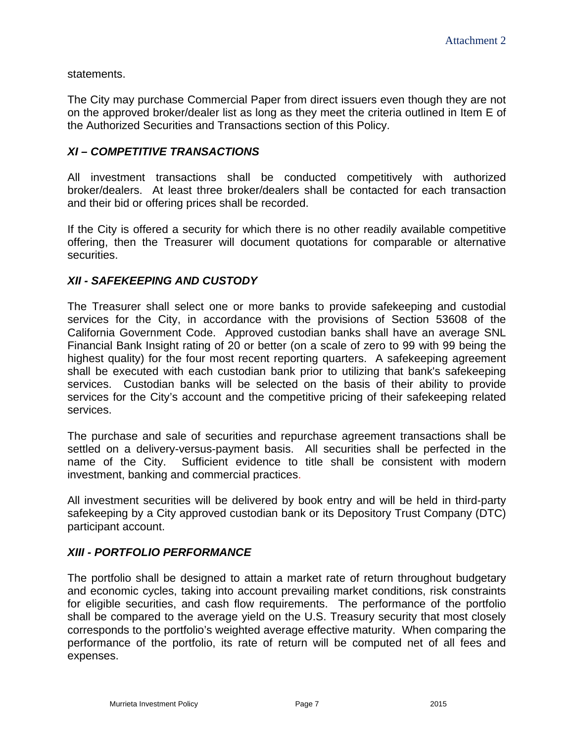statements.

The City may purchase Commercial Paper from direct issuers even though they are not on the approved broker/dealer list as long as they meet the criteria outlined in Item E of the Authorized Securities and Transactions section of this Policy.

## *XI – COMPETITIVE TRANSACTIONS*

All investment transactions shall be conducted competitively with authorized broker/dealers. At least three broker/dealers shall be contacted for each transaction and their bid or offering prices shall be recorded.

If the City is offered a security for which there is no other readily available competitive offering, then the Treasurer will document quotations for comparable or alternative securities.

#### *XII - SAFEKEEPING AND CUSTODY*

The Treasurer shall select one or more banks to provide safekeeping and custodial services for the City, in accordance with the provisions of Section 53608 of the California Government Code. Approved custodian banks shall have an average SNL Financial Bank Insight rating of 20 or better (on a scale of zero to 99 with 99 being the highest quality) for the four most recent reporting quarters. A safekeeping agreement shall be executed with each custodian bank prior to utilizing that bank's safekeeping services. Custodian banks will be selected on the basis of their ability to provide services for the City's account and the competitive pricing of their safekeeping related services.

The purchase and sale of securities and repurchase agreement transactions shall be settled on a delivery-versus-payment basis. All securities shall be perfected in the name of the City. Sufficient evidence to title shall be consistent with modern investment, banking and commercial practices.

All investment securities will be delivered by book entry and will be held in third-party safekeeping by a City approved custodian bank or its Depository Trust Company (DTC) participant account.

#### *XIII - PORTFOLIO PERFORMANCE*

The portfolio shall be designed to attain a market rate of return throughout budgetary and economic cycles, taking into account prevailing market conditions, risk constraints for eligible securities, and cash flow requirements. The performance of the portfolio shall be compared to the average yield on the U.S. Treasury security that most closely corresponds to the portfolio's weighted average effective maturity. When comparing the performance of the portfolio, its rate of return will be computed net of all fees and expenses.